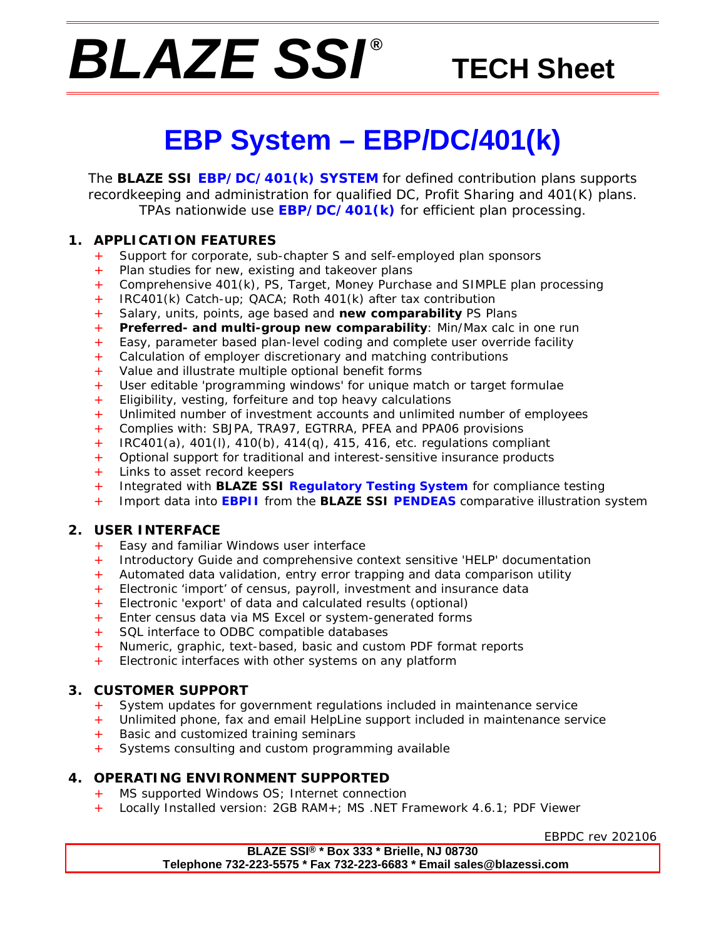# *BLAZE SSI ®*

# **TECH Sheet**

# **EBP System – EBP/DC/401(k)**

The **BLAZE SSI EBP/DC/401(k) SYSTEM** for defined contribution plans supports recordkeeping and administration for qualified DC, Profit Sharing and 401(K) plans. TPAs nationwide use **EBP/DC/401(k)** for efficient plan processing.

### **1. APPLICATION FEATURES**

- + Support for corporate, sub-chapter S and self-employed plan sponsors
- Plan studies for new, existing and takeover plans
- + Comprehensive 401(k), PS, Target, Money Purchase and SIMPLE plan processing
- + IRC401(k) Catch-up; QACA; Roth 401(k) after tax contribution
- + Salary, units, points, age based and *new comparability* PS Plans
- + *Preferred- and multi-group new comparability*: Min/Max calc in one run
- + Easy, parameter based plan-level coding and complete user override facility
- + Calculation of employer discretionary and matching contributions
- + Value and illustrate multiple optional benefit forms
- + User editable 'programming windows' for unique match or target formulae
- $+$  Eligibility, vesting, forfeiture and top heavy calculations
- + Unlimited number of investment accounts and unlimited number of employees
- + Complies with: SBJPA, TRA97, EGTRRA, PFEA and PPA06 provisions
- + IRC401(a), 401(l), 410(b), 414(q), 415, 416, etc. regulations compliant
- + Optional support for traditional and interest-sensitive insurance products
- + Links to asset record keepers
- + Integrated with **BLAZE SSI Regulatory Testing System** for compliance testing
- + Import data into **EBPII** from the **BLAZE SSI PENDEAS** comparative illustration system

### **2. USER INTERFACE**

- + Easy and familiar Windows user interface
- + Introductory Guide and comprehensive context sensitive 'HELP' documentation
- + Automated data validation, entry error trapping and data comparison utility
- + Electronic 'import' of census, payroll, investment and insurance data
- + Electronic 'export' of data and calculated results (optional)
- + Enter census data via MS Excel or system-generated forms
- SQL interface to ODBC compatible databases
- + Numeric, graphic, text-based, basic and custom PDF format reports
- Electronic interfaces with other systems on any platform

#### **3. CUSTOMER SUPPORT**

- + System updates for government regulations included in maintenance service
- Unlimited phone, fax and email HelpLine support included in maintenance service
- + Basic and customized training seminars
- + Systems consulting and custom programming available

### **4. OPERATING ENVIRONMENT SUPPORTED**

- + MS supported Windows OS; Internet connection
- + Locally Installed version: 2GB RAM+; MS .NET Framework 4.6.1; PDF Viewer

EBPDC rev 202106